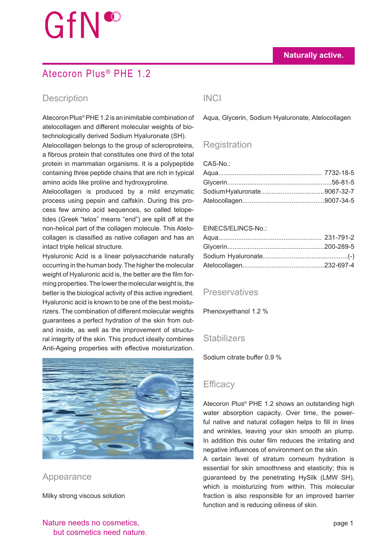# GfN®

## Atecoron Plus® PHE 1.2

### Description INCI

Atecoron Plus® PHE 1.2 is an inimitable combination of atelocollagen and different molecular weights of biotechnologically derived Sodium Hyaluronate (SH).

Atelocollagen belongs to the group of scleroproteins, a fibrous protein that constitutes one third of the total protein in mammalian organisms. It is a polypeptide containing three peptide chains that are rich in typical amino acids like proline and hydroxyproline.

Atelocollagen is produced by a mild enzymatic process using pepsin and calfskin. During this process few amino acid sequences, so called telopetides (Greek "telos" means "end") are split off at the non-helical part of the collagen molecule. This Atelocollagen is classified as native collagen and has an intact triple helical structure.

Hyaluronic Acid is a linear polysaccharide naturally occurring in the human body. The higher the molecular weight of Hyaluronic acid is, the better are the film forming properties. The lower the molecular weight is, the better is the biological activity of this active ingredient. Hyaluronic acid is known to be one of the best moisturizers. The combination of different molecular weights guarantees a perfect hydration of the skin from outand inside, as well as the improvement of structural integrity of the skin. This product ideally combines Anti-Ageing properties with effective moisturization.



Appearance

Milky strong viscous solution

Aqua, Glycerin, Sodium Hyaluronate, Atelocollagen

### **Registration**

 $CAS-No$ .

#### EINECS/ELINCS-No.:

### **Preservatives**

Phenoxyethanol 1.2 %

### **Stabilizers**

Sodium citrate buffer 0.9 %

### **Efficacy**

Atecoron Plus® PHE 1.2 shows an outstanding high water absorption capacity. Over time, the powerful native and natural collagen helps to fill in lines and wrinkles, leaving your skin smooth an plump. In addition this outer film reduces the irritating and negative influences of environment on the skin.

A certain level of stratum corneum hydration is essential for skin smoothness and elasticity; this is guaranteed by the penetrating HySilk (LMW SH), which is moisturizing from within. This molecular fraction is also responsible for an improved barrier function and is reducing oiliness of skin.